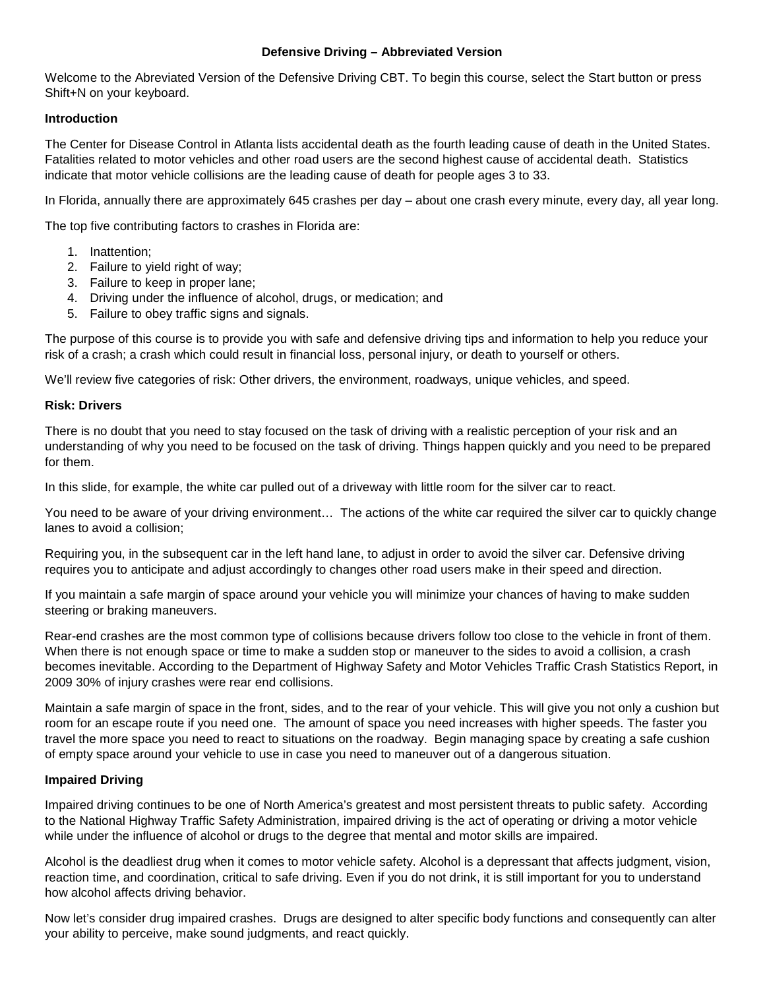## **Defensive Driving – Abbreviated Version**

Welcome to the Abreviated Version of the Defensive Driving CBT. To begin this course, select the Start button or press Shift+N on your keyboard.

## **Introduction**

The Center for Disease Control in Atlanta lists accidental death as the fourth leading cause of death in the United States. Fatalities related to motor vehicles and other road users are the second highest cause of accidental death. Statistics indicate that motor vehicle collisions are the leading cause of death for people ages 3 to 33.

In Florida, annually there are approximately 645 crashes per day – about one crash every minute, every day, all year long.

The top five contributing factors to crashes in Florida are:

- 1. Inattention;
- 2. Failure to yield right of way;
- 3. Failure to keep in proper lane;
- 4. Driving under the influence of alcohol, drugs, or medication; and
- 5. Failure to obey traffic signs and signals.

The purpose of this course is to provide you with safe and defensive driving tips and information to help you reduce your risk of a crash; a crash which could result in financial loss, personal injury, or death to yourself or others.

We'll review five categories of risk: Other drivers, the environment, roadways, unique vehicles, and speed.

## **Risk: Drivers**

There is no doubt that you need to stay focused on the task of driving with a realistic perception of your risk and an understanding of why you need to be focused on the task of driving. Things happen quickly and you need to be prepared for them.

In this slide, for example, the white car pulled out of a driveway with little room for the silver car to react.

You need to be aware of your driving environment… The actions of the white car required the silver car to quickly change lanes to avoid a collision;

Requiring you, in the subsequent car in the left hand lane, to adjust in order to avoid the silver car. Defensive driving requires you to anticipate and adjust accordingly to changes other road users make in their speed and direction.

If you maintain a safe margin of space around your vehicle you will minimize your chances of having to make sudden steering or braking maneuvers.

Rear-end crashes are the most common type of collisions because drivers follow too close to the vehicle in front of them. When there is not enough space or time to make a sudden stop or maneuver to the sides to avoid a collision, a crash becomes inevitable. According to the Department of Highway Safety and Motor Vehicles Traffic Crash Statistics Report, in 2009 30% of injury crashes were rear end collisions.

Maintain a safe margin of space in the front, sides, and to the rear of your vehicle. This will give you not only a cushion but room for an escape route if you need one. The amount of space you need increases with higher speeds. The faster you travel the more space you need to react to situations on the roadway. Begin managing space by creating a safe cushion of empty space around your vehicle to use in case you need to maneuver out of a dangerous situation.

#### **Impaired Driving**

Impaired driving continues to be one of North America's greatest and most persistent threats to public safety. According to the National Highway Traffic Safety Administration, impaired driving is the act of operating or driving a motor vehicle while under the influence of alcohol or drugs to the degree that mental and motor skills are impaired.

Alcohol is the deadliest drug when it comes to motor vehicle safety. Alcohol is a depressant that affects judgment, vision, reaction time, and coordination, critical to safe driving. Even if you do not drink, it is still important for you to understand how alcohol affects driving behavior.

Now let's consider drug impaired crashes. Drugs are designed to alter specific body functions and consequently can alter your ability to perceive, make sound judgments, and react quickly.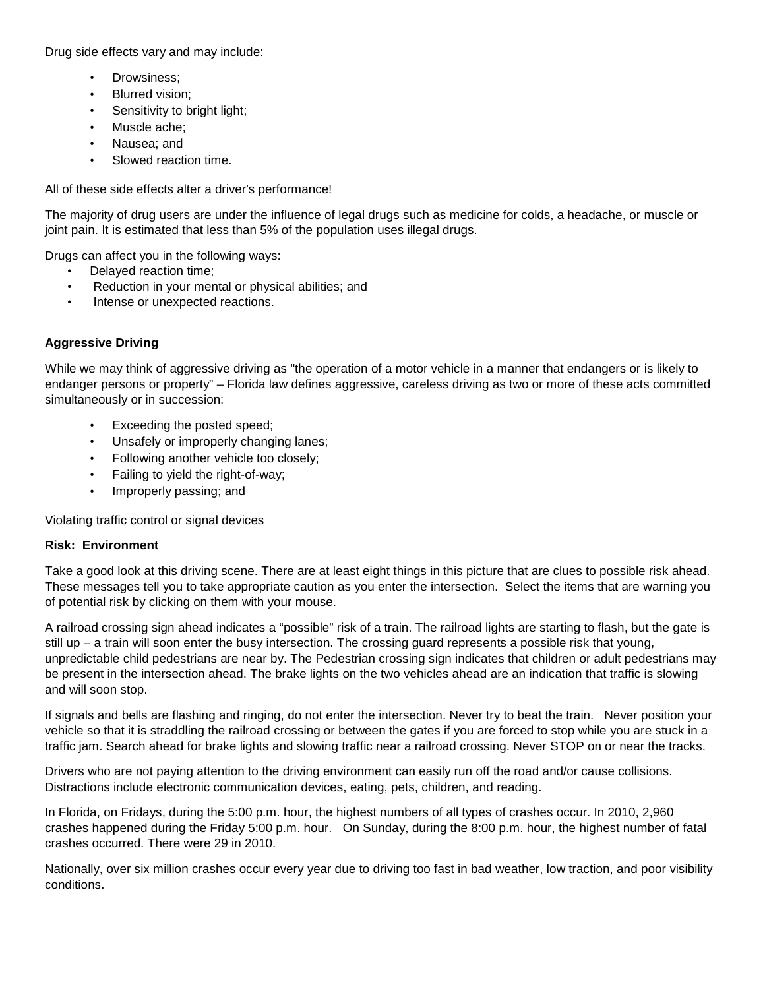Drug side effects vary and may include:

- Drowsiness;
- Blurred vision;
- Sensitivity to bright light;
- Muscle ache;
- Nausea; and
- Slowed reaction time.

All of these side effects alter a driver's performance!

The majority of drug users are under the influence of legal drugs such as medicine for colds, a headache, or muscle or joint pain. It is estimated that less than 5% of the population uses illegal drugs.

Drugs can affect you in the following ways:

- Delayed reaction time;
- Reduction in your mental or physical abilities; and
- Intense or unexpected reactions.

# **Aggressive Driving**

While we may think of aggressive driving as "the operation of a motor vehicle in a manner that endangers or is likely to endanger persons or property" – Florida law defines aggressive, careless driving as two or more of these acts committed simultaneously or in succession:

- Exceeding the posted speed;
- Unsafely or improperly changing lanes;
- Following another vehicle too closely;
- Failing to yield the right-of-way;
- Improperly passing; and

Violating traffic control or signal devices

## **Risk: Environment**

Take a good look at this driving scene. There are at least eight things in this picture that are clues to possible risk ahead. These messages tell you to take appropriate caution as you enter the intersection. Select the items that are warning you of potential risk by clicking on them with your mouse.

A railroad crossing sign ahead indicates a "possible" risk of a train. The railroad lights are starting to flash, but the gate is still up – a train will soon enter the busy intersection. The crossing guard represents a possible risk that young, unpredictable child pedestrians are near by. The Pedestrian crossing sign indicates that children or adult pedestrians may be present in the intersection ahead. The brake lights on the two vehicles ahead are an indication that traffic is slowing and will soon stop.

If signals and bells are flashing and ringing, do not enter the intersection. Never try to beat the train. Never position your vehicle so that it is straddling the railroad crossing or between the gates if you are forced to stop while you are stuck in a traffic jam. Search ahead for brake lights and slowing traffic near a railroad crossing. Never STOP on or near the tracks.

Drivers who are not paying attention to the driving environment can easily run off the road and/or cause collisions. Distractions include electronic communication devices, eating, pets, children, and reading.

In Florida, on Fridays, during the 5:00 p.m. hour, the highest numbers of all types of crashes occur. In 2010, 2,960 crashes happened during the Friday 5:00 p.m. hour. On Sunday, during the 8:00 p.m. hour, the highest number of fatal crashes occurred. There were 29 in 2010.

Nationally, over six million crashes occur every year due to driving too fast in bad weather, low traction, and poor visibility conditions.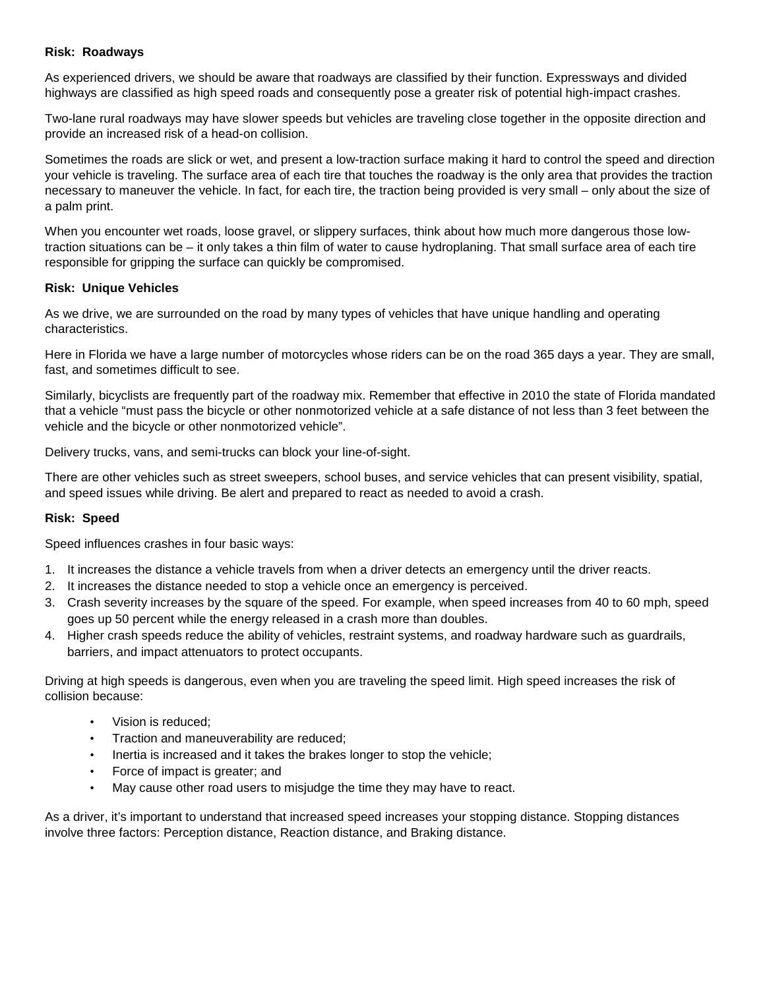### **Risk: Roadways**

As experienced drivers, we should be aware that roadways are classified by their function. Expressways and divided highways are classified as high speed roads and consequently pose a greater risk of potential high-impact crashes.

Two-lane rural roadways may have slower speeds but vehicles are traveling close together in the opposite direction and provide an increased risk of a head-on collision.

Sometimes the roads are slick or wet, and present a low-traction surface making it hard to control the speed and direction your vehicle is traveling. The surface area of each tire that touches the roadway is the only area that provides the traction necessary to maneuver the vehicle. In fact, for each tire, the traction being provided is very small – only about the size of a palm print.

When you encounter wet roads, loose gravel, or slippery surfaces, think about how much more dangerous those lowtraction situations can be – it only takes a thin film of water to cause hydroplaning. That small surface area of each tire responsible for gripping the surface can quickly be compromised.

## **Risk: Unique Vehicles**

As we drive, we are surrounded on the road by many types of vehicles that have unique handling and operating characteristics.

Here in Florida we have a large number of motorcycles whose riders can be on the road 365 days a year. They are small, fast, and sometimes difficult to see.

Similarly, bicyclists are frequently part of the roadway mix. Remember that effective in 2010 the state of Florida mandated that a vehicle "must pass the bicycle or other nonmotorized vehicle at a safe distance of not less than 3 feet between the vehicle and the bicycle or other nonmotorized vehicle".

Delivery trucks, vans, and semi-trucks can block your line-of-sight.

There are other vehicles such as street sweepers, school buses, and service vehicles that can present visibility, spatial, and speed issues while driving. Be alert and prepared to react as needed to avoid a crash.

## **Risk: Speed**

Speed influences crashes in four basic ways:

- 1. It increases the distance a vehicle travels from when a driver detects an emergency until the driver reacts.
- 2. It increases the distance needed to stop a vehicle once an emergency is perceived.
- 3. Crash severity increases by the square of the speed. For example, when speed increases from 40 to 60 mph, speed goes up 50 percent while the energy released in a crash more than doubles.
- 4. Higher crash speeds reduce the ability of vehicles, restraint systems, and roadway hardware such as guardrails, barriers, and impact attenuators to protect occupants.

Driving at high speeds is dangerous, even when you are traveling the speed limit. High speed increases the risk of collision because:

- Vision is reduced;
- Traction and maneuverability are reduced;
- Inertia is increased and it takes the brakes longer to stop the vehicle;
- Force of impact is greater; and
- May cause other road users to misjudge the time they may have to react.

As a driver, it's important to understand that increased speed increases your stopping distance. Stopping distances involve three factors: Perception distance, Reaction distance, and Braking distance.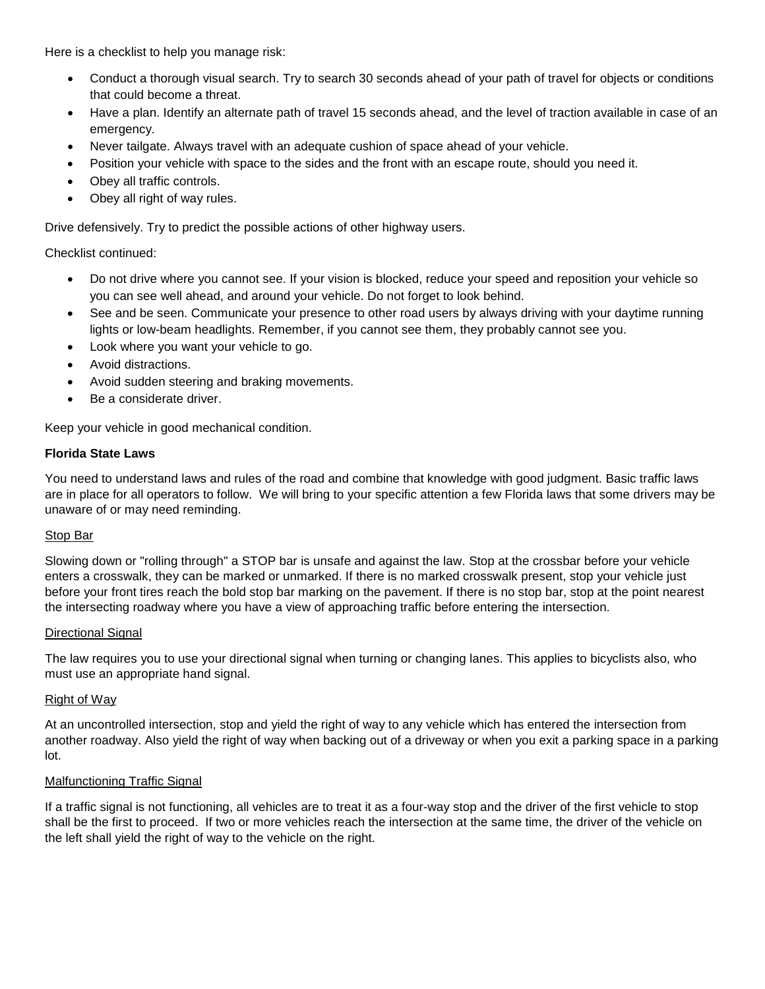Here is a checklist to help you manage risk:

- Conduct a thorough visual search. Try to search 30 seconds ahead of your path of travel for objects or conditions that could become a threat.
- Have a plan. Identify an alternate path of travel 15 seconds ahead, and the level of traction available in case of an emergency.
- Never tailgate. Always travel with an adequate cushion of space ahead of your vehicle.
- Position your vehicle with space to the sides and the front with an escape route, should you need it.
- Obey all traffic controls.
- Obey all right of way rules.

Drive defensively. Try to predict the possible actions of other highway users.

Checklist continued:

- Do not drive where you cannot see. If your vision is blocked, reduce your speed and reposition your vehicle so you can see well ahead, and around your vehicle. Do not forget to look behind.
- See and be seen. Communicate your presence to other road users by always driving with your daytime running lights or low-beam headlights. Remember, if you cannot see them, they probably cannot see you.
- Look where you want your vehicle to go.
- Avoid distractions.
- Avoid sudden steering and braking movements.
- Be a considerate driver.

Keep your vehicle in good mechanical condition.

## **Florida State Laws**

You need to understand laws and rules of the road and combine that knowledge with good judgment. Basic traffic laws are in place for all operators to follow. We will bring to your specific attention a few Florida laws that some drivers may be unaware of or may need reminding.

#### Stop Bar

Slowing down or "rolling through" a STOP bar is unsafe and against the law. Stop at the crossbar before your vehicle enters a crosswalk, they can be marked or unmarked. If there is no marked crosswalk present, stop your vehicle just before your front tires reach the bold stop bar marking on the pavement. If there is no stop bar, stop at the point nearest the intersecting roadway where you have a view of approaching traffic before entering the intersection.

#### Directional Signal

The law requires you to use your directional signal when turning or changing lanes. This applies to bicyclists also, who must use an appropriate hand signal.

#### Right of Way

At an uncontrolled intersection, stop and yield the right of way to any vehicle which has entered the intersection from another roadway. Also yield the right of way when backing out of a driveway or when you exit a parking space in a parking lot.

#### Malfunctioning Traffic Signal

If a traffic signal is not functioning, all vehicles are to treat it as a four-way stop and the driver of the first vehicle to stop shall be the first to proceed. If two or more vehicles reach the intersection at the same time, the driver of the vehicle on the left shall yield the right of way to the vehicle on the right.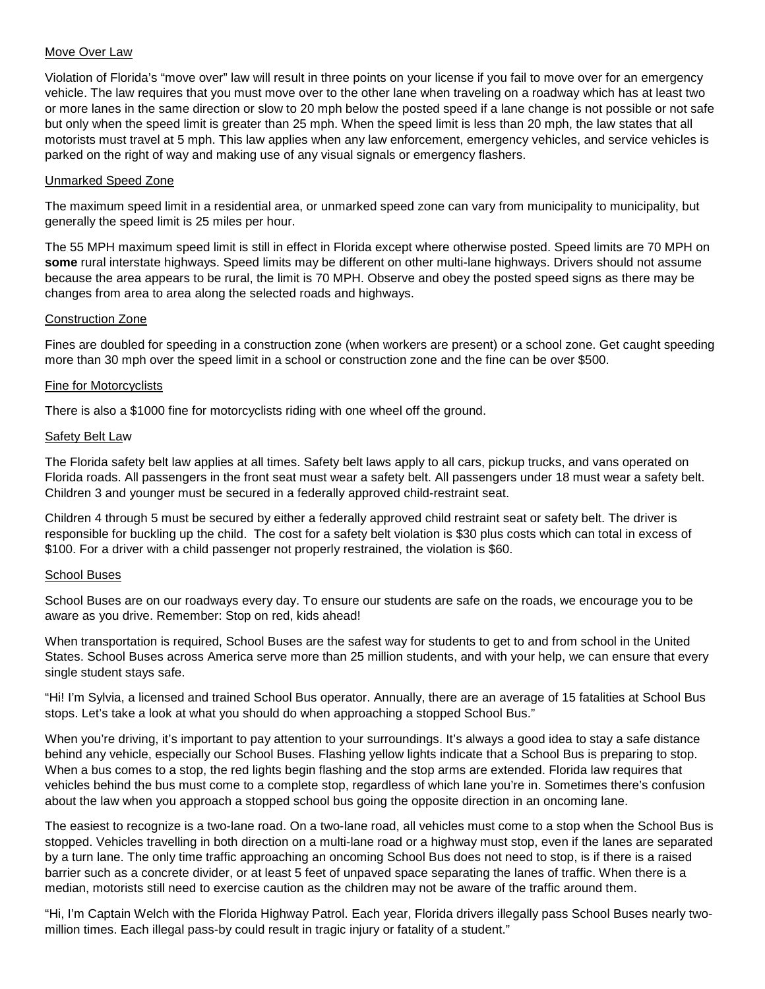## Move Over Law

Violation of Florida's "move over" law will result in three points on your license if you fail to move over for an emergency vehicle. The law requires that you must move over to the other lane when traveling on a roadway which has at least two or more lanes in the same direction or slow to 20 mph below the posted speed if a lane change is not possible or not safe but only when the speed limit is greater than 25 mph. When the speed limit is less than 20 mph, the law states that all motorists must travel at 5 mph. This law applies when any law enforcement, emergency vehicles, and service vehicles is parked on the right of way and making use of any visual signals or emergency flashers.

### Unmarked Speed Zone

The maximum speed limit in a residential area, or unmarked speed zone can vary from municipality to municipality, but generally the speed limit is 25 miles per hour.

The 55 MPH maximum speed limit is still in effect in Florida except where otherwise posted. Speed limits are 70 MPH on **some** rural interstate highways. Speed limits may be different on other multi-lane highways. Drivers should not assume because the area appears to be rural, the limit is 70 MPH. Observe and obey the posted speed signs as there may be changes from area to area along the selected roads and highways.

## Construction Zone

Fines are doubled for speeding in a construction zone (when workers are present) or a school zone. Get caught speeding more than 30 mph over the speed limit in a school or construction zone and the fine can be over \$500.

## Fine for Motorcyclists

There is also a \$1000 fine for motorcyclists riding with one wheel off the ground.

## Safety Belt Law

The Florida safety belt law applies at all times. Safety belt laws apply to all cars, pickup trucks, and vans operated on Florida roads. All passengers in the front seat must wear a safety belt. All passengers under 18 must wear a safety belt. Children 3 and younger must be secured in a federally approved child-restraint seat.

Children 4 through 5 must be secured by either a federally approved child restraint seat or safety belt. The driver is responsible for buckling up the child. The cost for a safety belt violation is \$30 plus costs which can total in excess of \$100. For a driver with a child passenger not properly restrained, the violation is \$60.

#### School Buses

School Buses are on our roadways every day. To ensure our students are safe on the roads, we encourage you to be aware as you drive. Remember: Stop on red, kids ahead!

When transportation is required, School Buses are the safest way for students to get to and from school in the United States. School Buses across America serve more than 25 million students, and with your help, we can ensure that every single student stays safe.

"Hi! I'm Sylvia, a licensed and trained School Bus operator. Annually, there are an average of 15 fatalities at School Bus stops. Let's take a look at what you should do when approaching a stopped School Bus."

When you're driving, it's important to pay attention to your surroundings. It's always a good idea to stay a safe distance behind any vehicle, especially our School Buses. Flashing yellow lights indicate that a School Bus is preparing to stop. When a bus comes to a stop, the red lights begin flashing and the stop arms are extended. Florida law requires that vehicles behind the bus must come to a complete stop, regardless of which lane you're in. Sometimes there's confusion about the law when you approach a stopped school bus going the opposite direction in an oncoming lane.

The easiest to recognize is a two-lane road. On a two-lane road, all vehicles must come to a stop when the School Bus is stopped. Vehicles travelling in both direction on a multi-lane road or a highway must stop, even if the lanes are separated by a turn lane. The only time traffic approaching an oncoming School Bus does not need to stop, is if there is a raised barrier such as a concrete divider, or at least 5 feet of unpaved space separating the lanes of traffic. When there is a median, motorists still need to exercise caution as the children may not be aware of the traffic around them.

"Hi, I'm Captain Welch with the Florida Highway Patrol. Each year, Florida drivers illegally pass School Buses nearly twomillion times. Each illegal pass-by could result in tragic injury or fatality of a student."